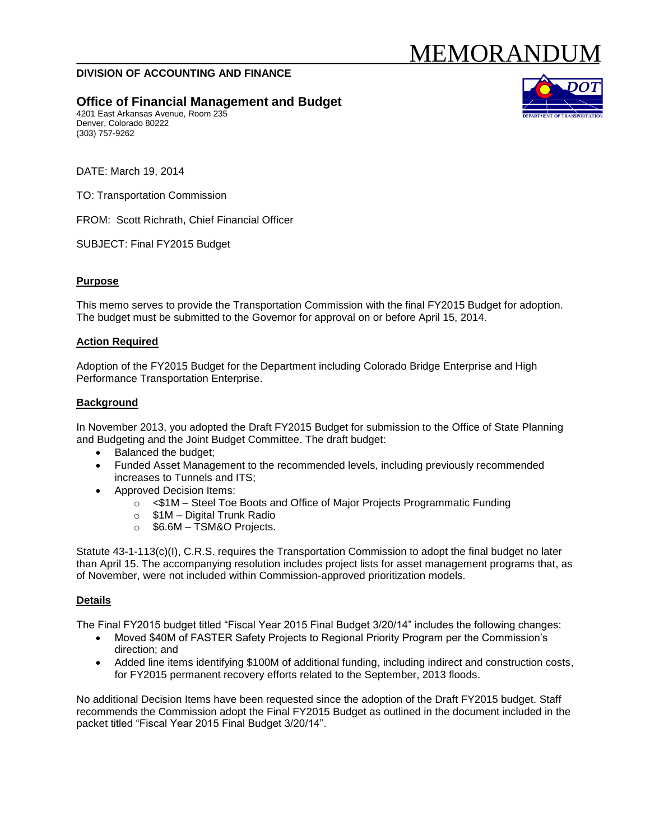# MEMORANDUI

### **DIVISION OF ACCOUNTING AND FINANCE**

# **Office of Financial Management and Budget**

4201 East Arkansas Avenue, Room 235 Denver, Colorado 80222 (303) 757-9262



DATE: March 19, 2014

TO: Transportation Commission

FROM: Scott Richrath, Chief Financial Officer

SUBJECT: Final FY2015 Budget

#### **Purpose**

This memo serves to provide the Transportation Commission with the final FY2015 Budget for adoption. The budget must be submitted to the Governor for approval on or before April 15, 2014.

#### **Action Required**

Adoption of the FY2015 Budget for the Department including Colorado Bridge Enterprise and High Performance Transportation Enterprise.

#### **Background**

In November 2013, you adopted the Draft FY2015 Budget for submission to the Office of State Planning and Budgeting and the Joint Budget Committee. The draft budget:

- Balanced the budget;
- Funded Asset Management to the recommended levels, including previously recommended increases to Tunnels and ITS;
- Approved Decision Items:
	- o <\$1M Steel Toe Boots and Office of Major Projects Programmatic Funding
	- o \$1M Digital Trunk Radio
	- $\circ$  \$6.6M TSM&O Projects.

Statute 43-1-113(c)(I), C.R.S. requires the Transportation Commission to adopt the final budget no later than April 15. The accompanying resolution includes project lists for asset management programs that, as of November, were not included within Commission-approved prioritization models.

#### **Details**

The Final FY2015 budget titled "Fiscal Year 2015 Final Budget 3/20/14" includes the following changes:

- Moved \$40M of FASTER Safety Projects to Regional Priority Program per the Commission's direction; and
- Added line items identifying \$100M of additional funding, including indirect and construction costs, for FY2015 permanent recovery efforts related to the September, 2013 floods.

No additional Decision Items have been requested since the adoption of the Draft FY2015 budget. Staff recommends the Commission adopt the Final FY2015 Budget as outlined in the document included in the packet titled "Fiscal Year 2015 Final Budget 3/20/14".